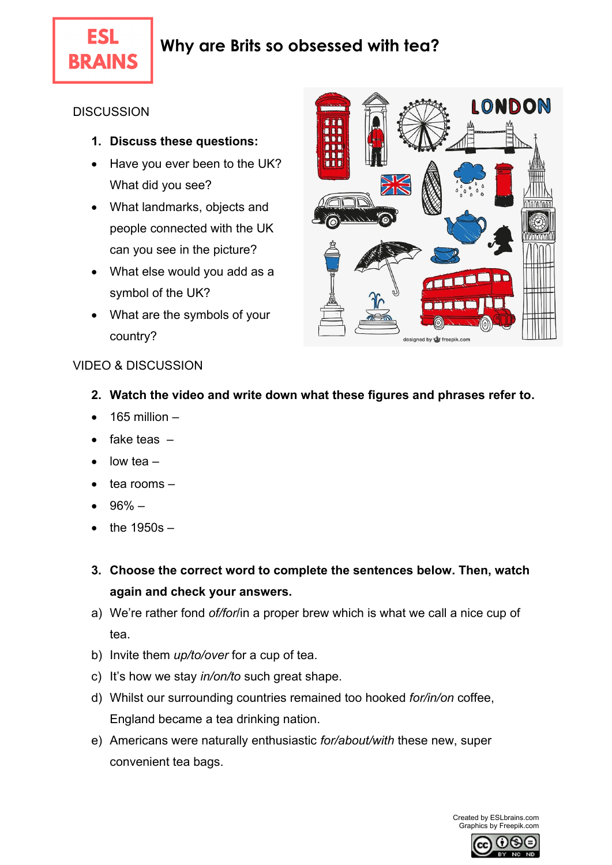

**ESL** 

#### **DISCUSSION**

- **1. Discuss these questions:**
- Have you ever been to the UK? What did you see?
- What landmarks, objects and people connected with the UK can you see in the picture?
- What else would you add as a symbol of the UK?
- What are the symbols of your country?



### VIDEO & DISCUSSION

- **2. Watch the video and write down what these figures and phrases refer to.**
- 165 million –
- $\bullet$  fake teas  $-$
- $\bullet$  low tea –
- $\bullet$  tea rooms  $-$
- $-96%$  –
- the 1950s –
- **3. Choose the correct word to complete the sentences below. Then, watch again and check your answers.**
- a) We're rather fond *of/for*/in a proper brew which is what we call a nice cup of tea.
- b) Invite them *up/to/over* for a cup of tea.
- c) It's how we stay *in/on/to* such great shape.
- d) Whilst our surrounding countries remained too hooked *for/in/on* coffee, England became a tea drinking nation.
- e) Americans were naturally enthusiastic *for/about/with* these new, super convenient tea bags.

Created by ESLbrains.com Graphics by Freepik.com